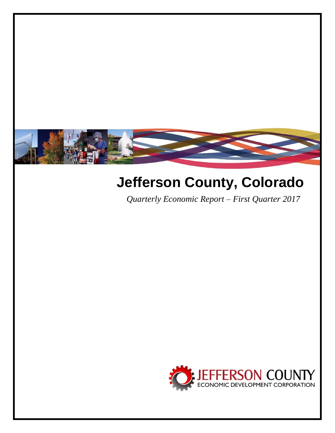

# **Jefferson County, Colorado**

*Quarterly Economic Report – First Quarter 2017*

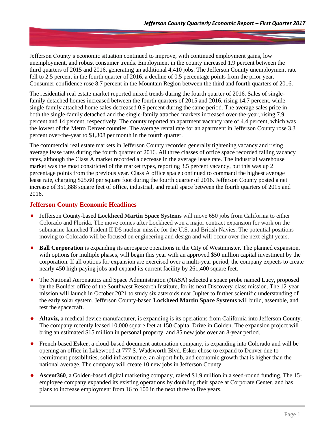Jefferson County's economic situation continued to improve, with continued employment gains, low unemployment, and robust consumer trends. Employment in the county increased 1.9 percent between the third quarters of 2015 and 2016, generating an additional 4,410 jobs. The Jefferson County unemployment rate fell to 2.5 percent in the fourth quarter of 2016, a decline of 0.5 percentage points from the prior year. Consumer confidence rose 8.7 percent in the Mountain Region between the third and fourth quarters of 2016.

The residential real estate market reported mixed trends during the fourth quarter of 2016. Sales of singlefamily detached homes increased between the fourth quarters of 2015 and 2016, rising 14.7 percent, while single-family attached home sales decreased 0.9 percent during the same period. The average sales price in both the single-family detached and the single-family attached markets increased over-the-year, rising 7.9 percent and 14 percent, respectively. The county reported an apartment vacancy rate of 4.4 percent, which was the lowest of the Metro Denver counties. The average rental rate for an apartment in Jefferson County rose 3.3 percent over-the-year to \$1,308 per month in the fourth quarter.

The commercial real estate markets in Jefferson County recorded generally tightening vacancy and rising average lease rates during the fourth quarter of 2016. All three classes of office space recorded falling vacancy rates, although the Class A market recorded a decrease in the average lease rate. The industrial warehouse market was the most constricted of the market types, reporting 3.5 percent vacancy, but this was up 2 percentage points from the previous year. Class A office space continued to command the highest average lease rate, charging \$25.60 per square foot during the fourth quarter of 2016. Jefferson County posted a net increase of 351,888 square feet of office, industrial, and retail space between the fourth quarters of 2015 and 2016.

# **Jefferson County Economic Headlines**

- Jefferson County-based **Lockheed Martin Space Systems** will move 650 jobs from California to either Colorado and Florida. The move comes after Lockheed won a major contract expansion for work on the submarine-launched Trident II D5 nuclear missile for the U.S. and British Navies. The potential positions moving to Colorado will be focused on engineering and design and will occur over the next eight years.
- **Ball Corporation** is expanding its aerospace operations in the City of Westminster. The planned expansion, with options for multiple phases, will begin this year with an approved \$50 million capital investment by the corporation. If all options for expansion are exercised over a multi-year period, the company expects to create nearly 450 high-paying jobs and expand its current facility by 261,400 square feet.
- The National Aeronautics and Space Administration (NASA) selected a space probe named Lucy, proposed by the Boulder office of the Southwest Research Institute, for its next Discovery-class mission. The 12-year mission will launch in October 2021 to study six asteroids near Jupiter to further scientific understanding of the early solar system. Jefferson County-based **Lockheed Martin Space Systems** will build, assemble, and test the spacecraft.
- **Altaviz,** a medical device manufacturer, is expanding is its operations from California into Jefferson County. The company recently leased 10,000 square feet at 150 Capital Drive in Golden. The expansion project will bring an estimated \$15 million in personal property, and 85 new jobs over an 8-year period.
- French-based **Esker**, a cloud-based document automation company, is expanding into Colorado and will be opening an office in Lakewood at 777 S. Wadsworth Blvd. Esker chose to expand to Denver due to recruitment possibilities, solid infrastructure, an airport hub, and economic growth that is higher than the national average. The company will create 10 new jobs in Jefferson County.
- **Ascent360**, a Golden-based digital marketing company, raised \$1.9 million in a seed-round funding. The 15 employee company expanded its existing operations by doubling their space at Corporate Center, and has plans to increase employment from 16 to 100 in the next three to five years.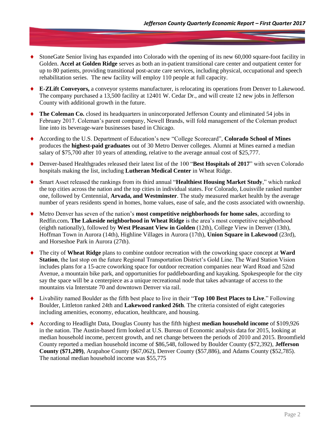- StoneGate Senior living has expanded into Colorado with the opening of its new 60,000 square-foot facility in Golden. **Accel at Golden Ridge** serves as both an in-patient transitional care center and outpatient center for up to 80 patients, providing transitional post-acute care services, including physical, occupational and speech rehabilitation series. The new facility will employ 110 people at full capacity.
- **E-ZLift Conveyors,** a conveyor systems manufacturer, is relocating its operations from Denver to Lakewood. The company purchased a 13,500 facility at 12401 W. Cedar Dr., and will create 12 new jobs in Jefferson County with additional growth in the future.
- **The Coleman Co.** closed its headquarters in unincorporated Jefferson County and eliminated 54 jobs in February 2017. Coleman's parent company, Newell Brands, will fold management of the Coleman product line into its beverage-ware businesses based in Chicago.
- According to the U.S. Department of Education's new "College Scorecard", **Colorado School of Mines** produces the **highest-paid graduates** out of 30 Metro Denver colleges. Alumni at Mines earned a median salary of \$75,700 after 10 years of attending, relative to the average annual cost of \$25,777.
- Denver-based Healthgrades released their latest list of the 100 "**Best Hospitals of 2017**" with seven Colorado hospitals making the list, including **Lutheran Medical Center** in Wheat Ridge.
- Smart Asset released the rankings from its third annual "**Healthiest Housing Market Study**," which ranked the top cities across the nation and the top cities in individual states. For Colorado, Louisville ranked number one, followed by Centennial, **Arvada, and Westminster**. The study measured market health by the average number of years residents spend in homes, home values, ease of sale, and the costs associated with ownership.
- Metro Denver has seven of the nation's **most competitive neighborhoods for home sales**, according to Redfin.com**. The Lakeside neighborhood in Wheat Ridge** is the area's most competitive neighborhood (eighth nationally), followed by **West Pleasant View in Golden** (12th), College View in Denver (13th), Hoffman Town in Aurora (14th), Highline Villages in Aurora (17th), **Union Square in Lakewood** (23rd), and Horseshoe Park in Aurora (27th).
- The city of **Wheat Ridge** plans to combine outdoor recreation with the coworking space concept at **Ward Station**, the last stop on the future Regional Transportation District's Gold Line. The Ward Station Vision includes plans for a 15-acre coworking space for outdoor recreation companies near Ward Road and 52nd Avenue, a mountain bike park, and opportunities for paddleboarding and kayaking. Spokespeople for the city say the space will be a centerpiece as a unique recreational node that takes advantage of access to the mountains via Interstate 70 and downtown Denver via rail.
- Livability named Boulder as the fifth best place to live in their "**Top 100 Best Places to Live**." Following Boulder, Littleton ranked 24th and **Lakewood ranked 26th**. The criteria consisted of eight categories including amenities, economy, education, healthcare, and housing.
- According to Headlight Data, Douglas County has the fifth highest **median household income** of \$109,926 in the nation. The Austin-based firm looked at U.S. Bureau of Economic analysis data for 2015, looking at median household income, percent growth, and net change between the periods of 2010 and 2015. Broomfield County reported a median household income of \$86,548, followed by Boulder County (\$72,392), **Jefferson County (\$71,209)**, Arapahoe County (\$67,062), Denver County (\$57,886), and Adams County (\$52,785). The national median household income was \$55,775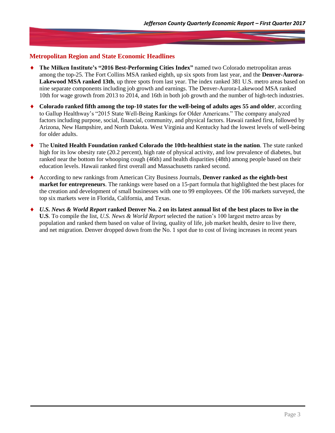# **Metropolitan Region and State Economic Headlines**

- **The Milken Institute's "2016 Best-Performing Cities Index"** named two Colorado metropolitan areas among the top-25. The Fort Collins MSA ranked eighth, up six spots from last year, and the **Denver-Aurora-Lakewood MSA ranked 13th**, up three spots from last year. The index ranked 381 U.S. metro areas based on nine separate components including job growth and earnings. The Denver-Aurora-Lakewood MSA ranked 10th for wage growth from 2013 to 2014, and 16th in both job growth and the number of high-tech industries.
- **Colorado ranked fifth among the top-10 states for the well-being of adults ages 55 and older**, according to Gallup Healthway's "2015 State Well-Being Rankings for Older Americans." The company analyzed factors including purpose, social, financial, community, and physical factors. Hawaii ranked first, followed by Arizona, New Hampshire, and North Dakota. West Virginia and Kentucky had the lowest levels of well-being for older adults.
- The **United Health Foundation ranked Colorado the 10th-healthiest state in the nation**. The state ranked high for its low obesity rate (20.2 percent), high rate of physical activity, and low prevalence of diabetes, but ranked near the bottom for whooping cough (46th) and health disparities (48th) among people based on their education levels. Hawaii ranked first overall and Massachusetts ranked second.
- According to new rankings from American City Business Journals, **Denver ranked as the eighth-best market for entrepreneurs**. The rankings were based on a 15-part formula that highlighted the best places for the creation and development of small businesses with one to 99 employees. Of the 106 markets surveyed, the top six markets were in Florida, California, and Texas.
- *U.S. News & World Report* **ranked Denver No. 2 on its latest annual list of the best places to live in the U.S**. To compile the list, *U.S. News & World Report* selected the nation's 100 largest metro areas by population and ranked them based on value of living, quality of life, job market health, desire to live there, and net migration. Denver dropped down from the No. 1 spot due to cost of living increases in recent years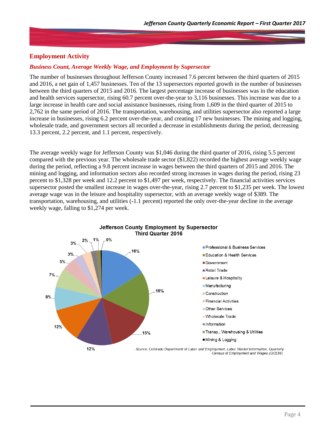# **Employment Activity**

#### *Business Count, Average Weekly Wage, and Employment by Supersector*

The number of businesses throughout Jefferson County increased 7.6 percent between the third quarters of 2015 and 2016, a net gain of 1,457 businesses. Ten of the 13 supersectors reported growth in the number of businesses between the third quarters of 2015 and 2016. The largest percentage increase of businesses was in the education and health services supersector, rising 60.7 percent over-the-year to 3,116 businesses. This increase was due to a large increase in health care and social assistance businesses, rising from 1,609 in the third quarter of 2015 to 2,762 in the same period of 2016. The transportation, warehousing, and utilities supersector also reported a large increase in businesses, rising 6.2 percent over-the-year, and creating 17 new businesses. The mining and logging, wholesale trade, and government sectors all recorded a decrease in establishments during the period, decreasing 13.3 percent, 2.2 percent, and 1.1 percent, respectively.

The average weekly wage for Jefferson County was \$1,046 during the third quarter of 2016, rising 5.5 percent compared with the previous year. The wholesale trade sector (\$1,822) recorded the highest average weekly wage during the period, reflecting a 9.8 percent increase in wages between the third quarters of 2015 and 2016. The mining and logging, and information sectors also recorded strong increases in wages during the period, rising 23 percent to \$1,328 per week and 12.2 percent to \$1,497 per week, respectively. The financial activities services supersector posted the smallest increase in wages over-the-year, rising 2.7 percent to \$1,235 per week. The lowest average wage was in the leisure and hospitality supersector, with an average weekly wage of \$389. The transportation, warehousing, and utilities (-1.1 percent) reported the only over-the-year decline in the average weekly wage, falling to \$1,274 per week.

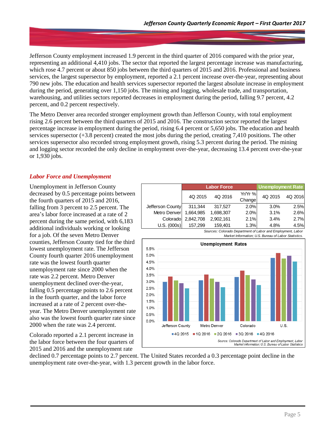Jefferson County employment increased 1.9 percent in the third quarter of 2016 compared with the prior year, representing an additional 4,410 jobs. The sector that reported the largest percentage increase was manufacturing, which rose 4.7 percent or about 850 jobs between the third quarters of 2015 and 2016. Professional and business services, the largest supersector by employment, reported a 2.1 percent increase over-the-year, representing about 790 new jobs. The education and health services supersector reported the largest absolute increase in employment during the period, generating over 1,150 jobs. The mining and logging, wholesale trade, and transportation, warehousing, and utilities sectors reported decreases in employment during the period, falling 9.7 percent, 4.2 percent, and 0.2 percent respectively.

The Metro Denver area recorded stronger employment growth than Jefferson County, with total employment rising 2.6 percent between the third quarters of 2015 and 2016. The construction sector reported the largest percentage increase in employment during the period, rising 6.4 percent or 5,650 jobs. The education and health services supersector (+3.8 percent) created the most jobs during the period, creating 7,410 positions. The other services supersector also recorded strong employment growth, rising 5.3 percent during the period. The mining and logging sector recorded the only decline in employment over-the-year, decreasing 13.4 percent over-the-year or 1,930 jobs.

# *Labor Force and Unemployment*

Unemployment in Jefferson County decreased by 0.5 percentage points between the fourth quarters of 2015 and 2016, falling from 3 percent to 2.5 percent. The area's labor force increased at a rate of 2 percent during the same period, with 6,183 additional individuals working or looking for a job. Of the seven Metro Denver counties, Jefferson County tied for the third lowest unemployment rate. The Jefferson County fourth quarter 2016 unemployment rate was the lowest fourth quarter unemployment rate since 2000 when the rate was 2.2 percent. Metro Denver unemployment declined over-the-year, falling 0.5 percentage points to 2.6 percent in the fourth quarter, and the labor force increased at a rate of 2 percent over-theyear. The Metro Denver unemployment rate also was the lowest fourth quarter rate since 2000 when the rate was 2.4 percent.

Colorado reported a 2.1 percent increase in the labor force between the four quarters of 2015 and 2016 and the unemployment rate

|                  |           | <b>Labor Force</b> | <b>Unemployment Rate</b> |         |         |
|------------------|-----------|--------------------|--------------------------|---------|---------|
|                  | 4Q 2015   | 4Q 2016            | $Yr/Yr$ %<br>Change      | 4Q 2015 | 4Q 2016 |
| Jefferson County | 311.344   | 317,527            | 2.0%                     | 3.0%    | 2.5%    |
| Metro Denver     | 1,664,985 | 1,698,307          | 2.0%                     | 3.1%    | 2.6%    |
| Colorado         | 2,842,708 | 2,902,161          | 2.1%                     | 3.4%    | 2.7%    |
| U.S. (000s)      | 157.299   | 159.401            | 1.3%                     | 4.8%    | 4.5%    |
|                  |           |                    |                          |         |         |



 *Sources: Colorado Department of Labor and Employment, Labor Market Information; U.S. Bureau of Labor Statistics.*

declined 0.7 percentage points to 2.7 percent. The United States recorded a 0.3 percentage point decline in the unemployment rate over-the-year, with 1.3 percent growth in the labor force.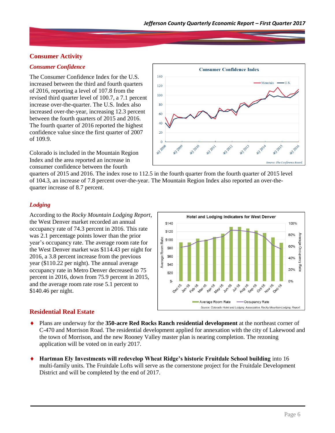# **Consumer Activity**

#### *Consumer Confidence*

The Consumer Confidence Index for the U.S. increased between the third and fourth quarters of 2016, reporting a level of 107.8 from the revised third quarter level of 100.7, a 7.1 percent increase over-the-quarter. The U.S. Index also increased over-the-year, increasing 12.3 percent between the fourth quarters of 2015 and 2016. The fourth quarter of 2016 reported the highest confidence value since the first quarter of 2007 of 109.9.

Colorado is included in the Mountain Region Index and the area reported an increase in consumer confidence between the fourth



quarters of 2015 and 2016. The index rose to 112.5 in the fourth quarter from the fourth quarter of 2015 level of 104.3, an increase of 7.8 percent over-the-year. The Mountain Region Index also reported an over-thequarter increase of 8.7 percent.

#### *Lodging*

According to the *Rocky Mountain Lodging Report*, the West Denver market recorded an annual occupancy rate of 74.3 percent in 2016. This rate was 2.1 percentage points lower than the prior year's occupancy rate. The average room rate for the West Denver market was \$114.43 per night for 2016, a 3.8 percent increase from the previous year (\$110.22 per night). The annual average occupancy rate in Metro Denver decreased to 75 percent in 2016, down from 75.9 percent in 2015, and the average room rate rose 5.1 percent to \$140.46 per night.



# **Residential Real Estate**

- Plans are underway for the **350-acre Red Rocks Ranch residential development** at the northeast corner of C-470 and Morrison Road. The residential development applied for annexation with the city of Lakewood and the town of Morrison, and the new Rooney Valley master plan is nearing completion. The rezoning application will be voted on in early 2017.
- **Hartman Ely Investments will redevelop Wheat Ridge's historic Fruitdale School building** into 16 multi-family units. The Fruitdale Lofts will serve as the cornerstone project for the Fruitdale Development District and will be completed by the end of 2017.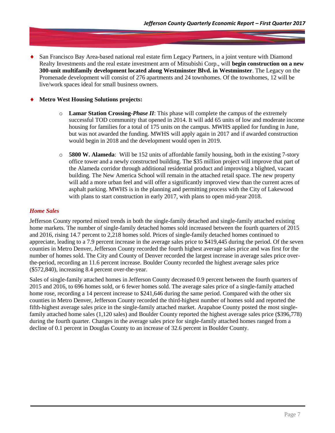San Francisco Bay Area-based national real estate firm Legacy Partners, in a joint venture with Diamond Realty Investments and the real estate investment arm of Mitsubishi Corp., will **begin construction on a new 300-unit multifamily development located along Westminster Blvd. in Westminster**. The Legacy on the Promenade development will consist of 276 apartments and 24 townhomes. Of the townhomes, 12 will be live/work spaces ideal for small business owners.

#### **Metro West Housing Solutions projects:**

- o **Lamar Station Crossing**-*Phase II*: This phase will complete the campus of the extremely successful TOD community that opened in 2014. It will add 65 units of low and moderate income housing for families for a total of 175 units on the campus. MWHS applied for funding in June, but was not awarded the funding. MWHS will apply again in 2017 and if awarded construction would begin in 2018 and the development would open in 2019.
- o **5800 W. Alameda**: Will be 152 units of affordable family housing, both in the existing 7-story office tower and a newly constructed building. The \$35 million project will improve that part of the Alameda corridor through additional residential product and improving a blighted, vacant building. The New America School will remain in the attached retail space. The new property will add a more urban feel and will offer a significantly improved view than the current acres of asphalt parking. MWHS is in the planning and permitting process with the City of Lakewood with plans to start construction in early 2017, with plans to open mid-year 2018.

# *Home Sales*

Jefferson County reported mixed trends in both the single-family detached and single-family attached existing home markets. The number of single-family detached homes sold increased between the fourth quarters of 2015 and 2016, rising 14.7 percent to 2,218 homes sold. Prices of single-family detached homes continued to appreciate, leading to a 7.9 percent increase in the average sales price to \$419,445 during the period. Of the seven counties in Metro Denver, Jefferson County recorded the fourth highest average sales price and was first for the number of homes sold. The City and County of Denver recorded the largest increase in average sales price overthe-period, recording an 11.6 percent increase. Boulder County recorded the highest average sales price (\$572,840), increasing 8.4 percent over-the-year.

Sales of single-family attached homes in Jefferson County decreased 0.9 percent between the fourth quarters of 2015 and 2016, to 696 homes sold, or 6 fewer homes sold. The average sales price of a single-family attached home rose, recording a 14 percent increase to \$241,646 during the same period. Compared with the other six counties in Metro Denver, Jefferson County recorded the third-highest number of homes sold and reported the fifth-highest average sales price in the single-family attached market. Arapahoe County posted the most singlefamily attached home sales (1,120 sales) and Boulder County reported the highest average sales price (\$396,778) during the fourth quarter. Changes in the average sales price for single-family attached homes ranged from a decline of 0.1 percent in Douglas County to an increase of 32.6 percent in Boulder County.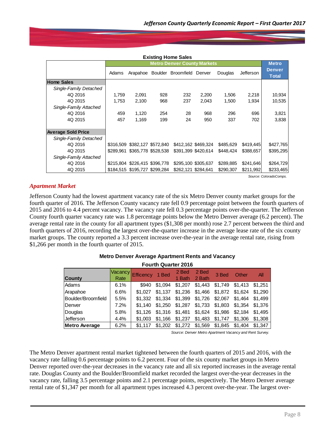| <b>Existing Home Sales</b> |                                    |                               |     |                                    |       |           |                  |                               |  |  |
|----------------------------|------------------------------------|-------------------------------|-----|------------------------------------|-------|-----------|------------------|-------------------------------|--|--|
|                            | <b>Metro Denver County Markets</b> |                               |     |                                    |       |           |                  |                               |  |  |
|                            | Adams                              |                               |     | Arapahoe Boulder Broomfield Denver |       | Douglas   | <b>Jefferson</b> | <b>Denver</b><br><b>Total</b> |  |  |
| <b>Home Sales</b>          |                                    |                               |     |                                    |       |           |                  |                               |  |  |
| Single-Family Detached     |                                    |                               |     |                                    |       |           |                  |                               |  |  |
| 4Q 2016                    | 1,759                              | 2,091                         | 928 | 232                                | 2,200 | 1,506     | 2,218            | 10,934                        |  |  |
| 4Q 2015                    | 1,753                              | 2,100                         | 968 | 237                                | 2,043 | 1,500     | 1,934            | 10,535                        |  |  |
| Single-Family Attached     |                                    |                               |     |                                    |       |           |                  |                               |  |  |
| 4Q 2016                    | 459                                | 1,120                         | 254 | 28                                 | 968   | 296       | 696              | 3,821                         |  |  |
| 4Q 2015                    | 457                                | 1,169                         | 199 | 24                                 | 950   | 337       | 702              | 3,838                         |  |  |
|                            |                                    |                               |     |                                    |       |           |                  |                               |  |  |
| <b>Average Sold Price</b>  |                                    |                               |     |                                    |       |           |                  |                               |  |  |
| Single-Family Detached     |                                    |                               |     |                                    |       |           |                  |                               |  |  |
| 4Q 2016                    |                                    | \$316,509 \$382,127 \$572,840 |     | \$412,162 \$469,324                |       | \$485,629 | \$419,445        | \$427,765                     |  |  |
| 4Q 2015                    |                                    | \$289,961 \$365,778 \$528,538 |     | \$391,399 \$420,614                |       | \$448,424 | \$388,657        | \$395,295                     |  |  |
| Single-Family Attached     |                                    |                               |     |                                    |       |           |                  |                               |  |  |
| 4Q 2016                    |                                    | \$215,804 \$226,415 \$396,778 |     | \$295,100 \$305,637                |       | \$289,885 | \$241,646        | \$264,729                     |  |  |
| 4Q 2015                    |                                    | \$184.515 \$195.727 \$299.284 |     | \$262.121 \$284.641                |       | \$290.307 | \$211.992        | \$233,465                     |  |  |

*Source: ColoradoComps.*

#### *Apartment Market*

Jefferson County had the lowest apartment vacancy rate of the six Metro Denver county market groups for the fourth quarter of 2016. The Jefferson County vacancy rate fell 0.9 percentage point between the fourth quarters of 2015 and 2016 to 4.4 percent vacancy. The vacancy rate fell 0.3 percentage points over-the-quarter. The Jefferson County fourth quarter vacancy rate was 1.8 percentage points below the Metro Denver average (6.2 percent). The average rental rate in the county for all apartment types (\$1,308 per month) rose 2.7 percent between the third and fourth quarters of 2016, recording the largest over-the-quarter increase in the average lease rate of the six county market groups. The county reported a 3.3 percent increase over-the-year in the average rental rate, rising from \$1,266 per month in the fourth quarter of 2015.

| <b>Fourth Quarter 2016</b> |      |                   |         |         |         |                 |                 |         |  |
|----------------------------|------|-------------------|---------|---------|---------|-----------------|-----------------|---------|--|
|                            |      | Vacancy Efficency | 1 Bed   | 2 Bed   | 2 Bed   | 3 Bed           | <b>Other</b>    | All     |  |
| <b>County</b>              | Rate |                   |         | 1 Bath  | 2 Bath  |                 |                 |         |  |
| Adams                      | 6.1% | \$940             | \$1.094 | \$1,207 | \$1,443 |                 | \$1,749 \$1,413 | \$1.251 |  |
| Arapahoe                   | 6.6% | \$1.027           | \$1.137 | \$1,236 |         | \$1,466 \$1,872 | \$1,624         | \$1,290 |  |
| Boulder/Broomfield         | 5.5% | \$1.332           | \$1.334 | \$1,399 | \$1,726 | \$2,067         | \$1.464         | \$1.499 |  |
| Denver                     | 7.2% | \$1.140           | \$1.250 | \$1,287 | \$1,733 | \$1,803         | \$1,354         | \$1,376 |  |
| Douglas                    | 5.8% | \$1.126           | \$1.316 | \$1,481 | \$1,624 | \$1,986         | \$2,184         | \$1.495 |  |
| Jefferson                  | 4.4% | \$1,003           | \$1.166 | \$1,237 | \$1.483 | \$1,747         | \$1,306         | \$1,308 |  |
| <b>Metro Average</b>       | 6.2% | \$1.117           | \$1,202 | \$1,272 | \$1.569 | \$1.845         | \$1,404         | \$1.347 |  |

#### **Metro Denver Average Apartment Rents and Vacancy**

*Source: Denver Metro Apartment Vacancy and Rent Survey.*

The Metro Denver apartment rental market tightened between the fourth quarters of 2015 and 2016, with the vacancy rate falling 0.6 percentage points to 6.2 percent. Four of the six county market groups in Metro Denver reported over-the-year decreases in the vacancy rate and all six reported increases in the average rental rate. Douglas County and the Boulder/Broomfield market recorded the largest over-the-year decreases in the vacancy rate, falling 3.5 percentage points and 2.1 percentage points, respectively. The Metro Denver average rental rate of \$1,347 per month for all apartment types increased 4.3 percent over-the-year. The largest over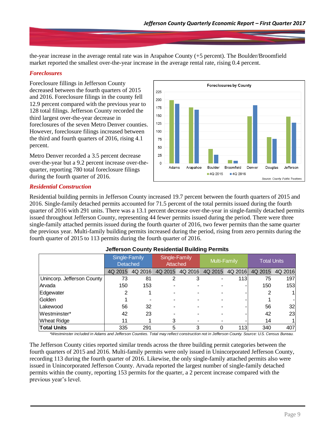the-year increase in the average rental rate was in Arapahoe County (+5 percent). The Boulder/Broomfield market reported the smallest over-the-year increase in the average rental rate, rising 0.4 percent.

#### *Foreclosures*

Foreclosure fillings in Jefferson County decreased between the fourth quarters of 2015 and 2016. Foreclosure filings in the county fell 12.9 percent compared with the previous year to 128 total filings. Jefferson County recorded the third largest over-the-year decrease in foreclosures of the seven Metro Denver counties. However, foreclosure filings increased between the third and fourth quarters of 2016, rising 4.1 percent.

Metro Denver recorded a 3.5 percent decrease over-the-year but a 9.2 percent increase over-thequarter, reporting 780 total foreclosure filings during the fourth quarter of 2016.



# *Residential Construction*

Residential building permits in Jefferson County increased 19.7 percent between the fourth quarters of 2015 and 2016. Single-family detached permits accounted for 71.5 percent of the total permits issued during the fourth quarter of 2016 with 291 units. There was a 13.1 percent decrease over-the-year in single-family detached permits issued throughout Jefferson County, representing 44 fewer permits issued during the period. There were three single-family attached permits issued during the fourth quarter of 2016, two fewer permits than the same quarter the previous year. Multi-family building permits increased during the period, rising from zero permits during the fourth quarter of 2015 to 113 permits during the fourth quarter of 2016.

|                            | Single-Family<br><b>Detached</b> |         | Single-Family<br>Attached |         | Multi-Family |            | <b>Total Units</b> |         |  |  |
|----------------------------|----------------------------------|---------|---------------------------|---------|--------------|------------|--------------------|---------|--|--|
|                            | 4Q 2015                          | 4Q 2016 | 4Q 2015                   | 4Q 2016 | 4Q 2015      | 4Q 2016    | 4Q 2015            | 4Q 2016 |  |  |
| Unincorp. Jefferson County | 73                               | 81      | 2                         | 3       |              | <b>113</b> | 75                 | 197     |  |  |
| Arvada                     | 150                              | 153     |                           |         |              |            | 150                | 153     |  |  |
| Edgewater                  | 2                                |         |                           |         |              |            |                    |         |  |  |
| Golden                     |                                  |         |                           |         |              |            |                    |         |  |  |
| Lakewood                   | 56                               | 32      |                           |         |              |            | 56                 | 32      |  |  |
| Westminster*               | 42                               | 23      |                           |         |              |            | 42                 | 23      |  |  |
| <b>Wheat Ridge</b>         | 11                               |         | 3                         |         |              |            | 14                 |         |  |  |
| <b>Total Units</b>         | 335                              | 291     | 5                         | 3       |              | 113        | 340                | 407     |  |  |

#### **Jefferson County Residential Building Permits**

*\*Westminster included in Adams and Jefferson Counties. Total may reflect construction not in Jefferson County. Source: U.S. Census Bureau.*

The Jefferson County cities reported similar trends across the three building permit categories between the fourth quarters of 2015 and 2016. Multi-family permits were only issued in Unincorporated Jefferson County, recording 113 during the fourth quarter of 2016. Likewise, the only single-family attached permits also were issued in Unincorporated Jefferson County. Arvada reported the largest number of single-family detached permits within the county, reporting 153 permits for the quarter, a 2 percent increase compared with the previous year's level.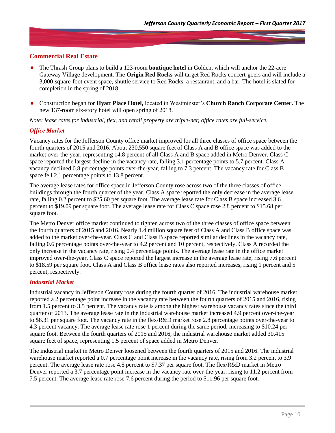# **Commercial Real Estate**

- The Thrash Group plans to build a 123-room **boutique hotel** in Golden, which will anchor the 22-acre Gateway Village development. The **Origin Red Rocks** will target Red Rocks concert-goers and will include a 3,000-square-foot event space, shuttle service to Red Rocks, a restaurant, and a bar. The hotel is slated for completion in the spring of 2018.
- Construction began for **Hyatt Place Hotel,** located in Westminster's **Church Ranch Corporate Center.** The new 137-room six-story hotel will open spring of 2018.

*Note: lease rates for industrial, flex, and retail property are triple-net; office rates are full-service.*

#### *Office Market*

Vacancy rates for the Jefferson County office market improved for all three classes of office space between the fourth quarters of 2015 and 2016. About 230,550 square feet of Class A and B office space was added to the market over-the-year, representing 14.8 percent of all Class A and B space added in Metro Denver. Class C space reported the largest decline in the vacancy rate, falling 3.1 percentage points to 5.7 percent. Class A vacancy declined 0.8 percentage points over-the-year, falling to 7.3 percent. The vacancy rate for Class B space fell 2.1 percentage points to 13.8 percent.

The average lease rates for office space in Jefferson County rose across two of the three classes of office buildings through the fourth quarter of the year. Class A space reported the only decrease in the average lease rate, falling 0.2 percent to \$25.60 per square foot. The average lease rate for Class B space increased 3.6 percent to \$19.09 per square foot. The average lease rate for Class C space rose 2.8 percent to \$15.68 per square foot.

The Metro Denver office market continued to tighten across two of the three classes of office space between the fourth quarters of 2015 and 2016. Nearly 1.4 million square feet of Class A and Class B office space was added to the market over-the-year. Class C and Class B space reported similar declines in the vacancy rate, falling 0.6 percentage points over-the-year to 4.2 percent and 10 percent, respectively. Class A recorded the only increase in the vacancy rate, rising 0.4 percentage points. The average lease rate in the office market improved over-the-year. Class C space reported the largest increase in the average lease rate, rising 7.6 percent to \$18.59 per square foot. Class A and Class B office lease rates also reported increases, rising 1 percent and 5 percent, respectively.

#### *Industrial Market*

Industrial vacancy in Jefferson County rose during the fourth quarter of 2016. The industrial warehouse market reported a 2 percentage point increase in the vacancy rate between the fourth quarters of 2015 and 2016, rising from 1.5 percent to 3.5 percent. The vacancy rate is among the highest warehouse vacancy rates since the third quarter of 2013. The average lease rate in the industrial warehouse market increased 4.9 percent over-the-year to \$8.31 per square foot. The vacancy rate in the flex/R&D market rose 2.8 percentage points over-the-year to 4.3 percent vacancy. The average lease rate rose 1 percent during the same period, increasing to \$10.24 per square foot. Between the fourth quarters of 2015 and 2016, the industrial warehouse market added 30,415 square feet of space, representing 1.5 percent of space added in Metro Denver.

The industrial market in Metro Denver loosened between the fourth quarters of 2015 and 2016. The industrial warehouse market reported a 0.7 percentage point increase in the vacancy rate, rising from 3.2 percent to 3.9 percent. The average lease rate rose 4.5 percent to \$7.37 per square foot. The flex/R&D market in Metro Denver reported a 3.7 percentage point increase in the vacancy rate over-the-year, rising to 11.2 percent from 7.5 percent. The average lease rate rose 7.6 percent during the period to \$11.96 per square foot.